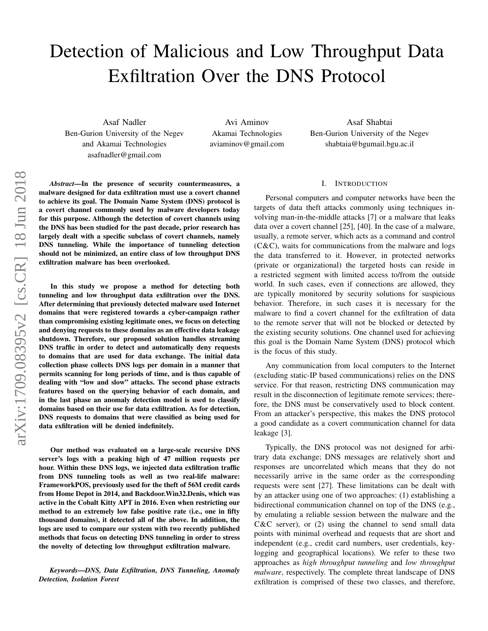# Detection of Malicious and Low Throughput Data Exfiltration Over the DNS Protocol

Asaf Nadler Ben-Gurion University of the Negev and Akamai Technologies asafnadler@gmail.com

Avi Aminov Akamai Technologies aviaminov@gmail.com

Asaf Shabtai Ben-Gurion University of the Negev shabtaia@bgumail.bgu.ac.il

*Abstract*—In the presence of security countermeasures, a malware designed for data exfiltration must use a covert channel to achieve its goal. The Domain Name System (DNS) protocol is a covert channel commonly used by malware developers today for this purpose. Although the detection of covert channels using the DNS has been studied for the past decade, prior research has largely dealt with a specific subclass of covert channels, namely DNS tunneling. While the importance of tunneling detection should not be minimized, an entire class of low throughput DNS exfiltration malware has been overlooked.

In this study we propose a method for detecting both tunneling and low throughput data exfiltration over the DNS. After determining that previously detected malware used Internet domains that were registered towards a cyber-campaign rather than compromising existing legitimate ones, we focus on detecting and denying requests to these domains as an effective data leakage shutdown. Therefore, our proposed solution handles streaming DNS traffic in order to detect and automatically deny requests to domains that are used for data exchange. The initial data collection phase collects DNS logs per domain in a manner that permits scanning for long periods of time, and is thus capable of dealing with "low and slow" attacks. The second phase extracts features based on the querying behavior of each domain, and in the last phase an anomaly detection model is used to classify domains based on their use for data exfiltration. As for detection, DNS requests to domains that were classified as being used for data exfiltration will be denied indefinitely.

Our method was evaluated on a large-scale recursive DNS server's logs with a peaking high of 47 million requests per hour. Within these DNS logs, we injected data exfiltration traffic from DNS tunneling tools as well as two real-life malware: FrameworkPOS, previously used for the theft of 56M credit cards from Home Depot in 2014, and Backdoor.Win32.Denis, which was active in the Cobalt Kitty APT in 2016. Even when restricting our method to an extremely low false positive rate (i.e., one in fifty thousand domains), it detected all of the above. In addition, the logs are used to compare our system with two recently published methods that focus on detecting DNS tunneling in order to stress the novelty of detecting low throughput exfiltration malware.

*Keywords*—*DNS, Data Exfiltration, DNS Tunneling, Anomaly Detection, Isolation Forest*

# I. INTRODUCTION

Personal computers and computer networks have been the targets of data theft attacks commonly using techniques involving man-in-the-middle attacks [7] or a malware that leaks data over a covert channel [25], [40]. In the case of a malware, usually, a remote server, which acts as a command and control (C&C), waits for communications from the malware and logs the data transferred to it. However, in protected networks (private or organizational) the targeted hosts can reside in a restricted segment with limited access to/from the outside world. In such cases, even if connections are allowed, they are typically monitored by security solutions for suspicious behavior. Therefore, in such cases it is necessary for the malware to find a covert channel for the exfiltration of data to the remote server that will not be blocked or detected by the existing security solutions. One channel used for achieving this goal is the Domain Name System (DNS) protocol which is the focus of this study.

Any communication from local computers to the Internet (excluding static-IP based communications) relies on the DNS service. For that reason, restricting DNS communication may result in the disconnection of legitimate remote services; therefore, the DNS must be conservatively used to block content. From an attacker's perspective, this makes the DNS protocol a good candidate as a covert communication channel for data leakage [3].

Typically, the DNS protocol was not designed for arbitrary data exchange; DNS messages are relatively short and responses are uncorrelated which means that they do not necessarily arrive in the same order as the corresponding requests were sent [27]. These limitations can be dealt with by an attacker using one of two approaches: (1) establishing a bidirectional communication channel on top of the DNS (e.g., by emulating a reliable session between the malware and the  $C&C$  server), or  $(2)$  using the channel to send small data points with minimal overhead and requests that are short and independent (e.g., credit card numbers, user credentials, keylogging and geographical locations). We refer to these two approaches as *high throughput tunneling* and *low throughput malware*, respectively. The complete threat landscape of DNS exfiltration is comprised of these two classes, and therefore,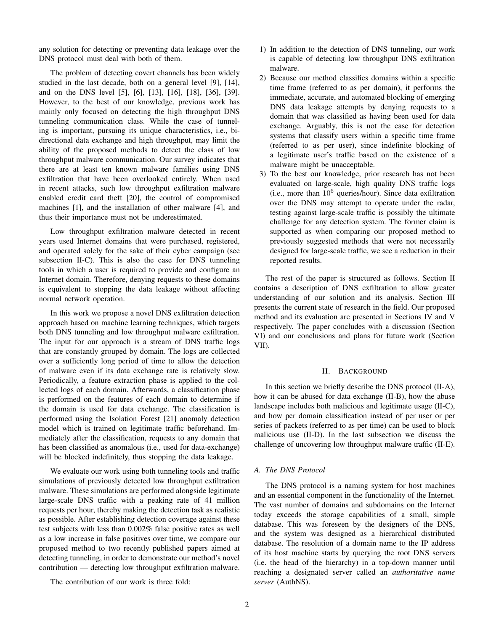any solution for detecting or preventing data leakage over the DNS protocol must deal with both of them.

The problem of detecting covert channels has been widely studied in the last decade, both on a general level [9], [14], and on the DNS level [5], [6], [13], [16], [18], [36], [39]. However, to the best of our knowledge, previous work has mainly only focused on detecting the high throughput DNS tunneling communication class. While the case of tunneling is important, pursuing its unique characteristics, i.e., bidirectional data exchange and high throughput, may limit the ability of the proposed methods to detect the class of low throughput malware communication. Our survey indicates that there are at least ten known malware families using DNS exfiltration that have been overlooked entirely. When used in recent attacks, such low throughput exfiltration malware enabled credit card theft [20], the control of compromised machines [1], and the installation of other malware [4], and thus their importance must not be underestimated.

Low throughput exfiltration malware detected in recent years used Internet domains that were purchased, registered, and operated solely for the sake of their cyber campaign (see subsection II-C). This is also the case for DNS tunneling tools in which a user is required to provide and configure an Internet domain. Therefore, denying requests to these domains is equivalent to stopping the data leakage without affecting normal network operation.

In this work we propose a novel DNS exfiltration detection approach based on machine learning techniques, which targets both DNS tunneling and low throughput malware exfiltration. The input for our approach is a stream of DNS traffic logs that are constantly grouped by domain. The logs are collected over a sufficiently long period of time to allow the detection of malware even if its data exchange rate is relatively slow. Periodically, a feature extraction phase is applied to the collected logs of each domain. Afterwards, a classification phase is performed on the features of each domain to determine if the domain is used for data exchange. The classification is performed using the Isolation Forest [21] anomaly detection model which is trained on legitimate traffic beforehand. Immediately after the classification, requests to any domain that has been classified as anomalous (i.e., used for data-exchange) will be blocked indefinitely, thus stopping the data leakage.

We evaluate our work using both tunneling tools and traffic simulations of previously detected low throughput exfiltration malware. These simulations are performed alongside legitimate large-scale DNS traffic with a peaking rate of 41 million requests per hour, thereby making the detection task as realistic as possible. After establishing detection coverage against these test subjects with less than 0.002% false positive rates as well as a low increase in false positives over time, we compare our proposed method to two recently published papers aimed at detecting tunneling, in order to demonstrate our method's novel contribution — detecting low throughput exfiltration malware.

The contribution of our work is three fold:

- 1) In addition to the detection of DNS tunneling, our work is capable of detecting low throughput DNS exfiltration malware.
- 2) Because our method classifies domains within a specific time frame (referred to as per domain), it performs the immediate, accurate, and automated blocking of emerging DNS data leakage attempts by denying requests to a domain that was classified as having been used for data exchange. Arguably, this is not the case for detection systems that classify users within a specific time frame (referred to as per user), since indefinite blocking of a legitimate user's traffic based on the existence of a malware might be unacceptable.
- 3) To the best our knowledge, prior research has not been evaluated on large-scale, high quality DNS traffic logs (i.e., more than  $10^6$  queries/hour). Since data exfiltration over the DNS may attempt to operate under the radar, testing against large-scale traffic is possibly the ultimate challenge for any detection system. The former claim is supported as when comparing our proposed method to previously suggested methods that were not necessarily designed for large-scale traffic, we see a reduction in their reported results.

The rest of the paper is structured as follows. Section II contains a description of DNS exfiltration to allow greater understanding of our solution and its analysis. Section III presents the current state of research in the field. Our proposed method and its evaluation are presented in Sections IV and V respectively. The paper concludes with a discussion (Section VI) and our conclusions and plans for future work (Section VII).

#### II. BACKGROUND

In this section we briefly describe the DNS protocol (II-A), how it can be abused for data exchange (II-B), how the abuse landscape includes both malicious and legitimate usage (II-C), and how per domain classification instead of per user or per series of packets (referred to as per time) can be used to block malicious use (II-D). In the last subsection we discuss the challenge of uncovering low throughput malware traffic (II-E).

## *A. The DNS Protocol*

The DNS protocol is a naming system for host machines and an essential component in the functionality of the Internet. The vast number of domains and subdomains on the Internet today exceeds the storage capabilities of a small, simple database. This was foreseen by the designers of the DNS, and the system was designed as a hierarchical distributed database. The resolution of a domain name to the IP address of its host machine starts by querying the root DNS servers (i.e. the head of the hierarchy) in a top-down manner until reaching a designated server called an *authoritative name server* (AuthNS).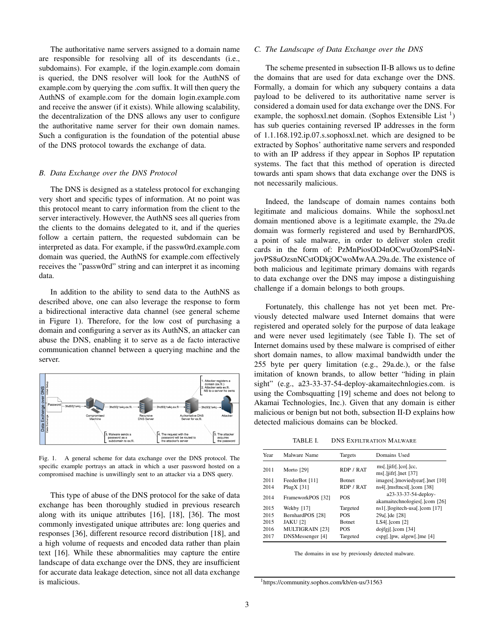The authoritative name servers assigned to a domain name are responsible for resolving all of its descendants (i.e., subdomains). For example, if the login.example.com domain is queried, the DNS resolver will look for the AuthNS of example.com by querying the .com suffix. It will then query the AuthNS of example.com for the domain login.example.com and receive the answer (if it exists). While allowing scalability, the decentralization of the DNS allows any user to configure the authoritative name server for their own domain names. Such a configuration is the foundation of the potential abuse of the DNS protocol towards the exchange of data.

# *B. Data Exchange over the DNS Protocol*

The DNS is designed as a stateless protocol for exchanging very short and specific types of information. At no point was this protocol meant to carry information from the client to the server interactively. However, the AuthNS sees all queries from the clients to the domains delegated to it, and if the queries follow a certain pattern, the requested subdomain can be interpreted as data. For example, if the passw0rd.example.com domain was queried, the AuthNS for example.com effectively receives the "passw0rd" string and can interpret it as incoming data.

In addition to the ability to send data to the AuthNS as described above, one can also leverage the response to form a bidirectional interactive data channel (see general scheme in Figure 1). Therefore, for the low cost of purchasing a domain and configuring a server as its AuthNS, an attacker can abuse the DNS, enabling it to serve as a de facto interactive communication channel between a querying machine and the server.



Fig. 1. A general scheme for data exchange over the DNS protocol. The specific example portrays an attack in which a user password hosted on a compromised machine is unwillingly sent to an attacker via a DNS query.

This type of abuse of the DNS protocol for the sake of data exchange has been thoroughly studied in previous research along with its unique attributes [16], [18], [36]. The most commonly investigated unique attributes are: long queries and responses [36], different resource record distribution [18], and a high volume of requests and encoded data rather than plain text [16]. While these abnormalities may capture the entire landscape of data exchange over the DNS, they are insufficient for accurate data leakage detection, since not all data exchange is malicious.

## *C. The Landscape of Data Exchange over the DNS*

The scheme presented in subsection II-B allows us to define the domains that are used for data exchange over the DNS. Formally, a domain for which any subquery contains a data payload to be delivered to its authoritative name server is considered a domain used for data exchange over the DNS. For example, the sophosxl.net domain. (Sophos Extensible List<sup>1</sup>) has sub queries containing reversed IP addresses in the form of 1.1.168.192.ip.07.s.sophosxl.net. which are designed to be extracted by Sophos' authoritative name servers and responded to with an IP address if they appear in Sophos IP reputation systems. The fact that this method of operation is directed towards anti spam shows that data exchange over the DNS is not necessarily malicious.

Indeed, the landscape of domain names contains both legitimate and malicious domains. While the sophosxl.net domain mentioned above is a legitimate example, the 29a.de domain was formerly registered and used by BernhardPOS, a point of sale malware, in order to deliver stolen credit cards in the form of: PzMnPiosOD4nOCwuOzomPS4nNjovPS8uOzsnNCstODkjOCwoMwAA.29a.de. The existence of both malicious and legitimate primary domains with regards to data exchange over the DNS may impose a distinguishing challenge if a domain belongs to both groups.

Fortunately, this challenge has not yet been met. Previously detected malware used Internet domains that were registered and operated solely for the purpose of data leakage and were never used legitimately (see Table I). The set of Internet domains used by these malware is comprised of either short domain names, to allow maximal bandwidth under the 255 byte per query limitation (e.g., 29a.de.), or the false imitation of known brands, to allow better "hiding in plain sight" (e.g., a23-33-37-54-deploy-akamaitechnlogies.com. is using the Combsquatting [19] scheme and does not belong to Akamai Technologies, Inc.). Given that any domain is either malicious or benign but not both, subsection II-D explains how detected malicious domains can be blocked.

TABLE I. DNS EXFILTRATION MALWARE

| Year | Malware Name           | Targets       | Domains Used                                              |
|------|------------------------|---------------|-----------------------------------------------------------|
| 2011 | Morto [29]             | RDP / RAT     | $ms[.]$ ifr $[.]$ co $[.]$ cc,<br>$ms[.]$ jifr[.]net [37] |
| 2011 | FeederBot [11]         | <b>Botnet</b> | images[.]moviedyear[.]net [10]                            |
| 2014 | PlugX $[31]$           | RDP / RAT     | ns4[.]msftncs1[.]com [38]                                 |
| 2014 | FrameworkPOS [32]      | <b>POS</b>    | a23-33-37-54-deploy-<br>akamaitechnologies[.]com [26]     |
| 2015 | Wekby [17]             | Targeted      | ns1[.]logitech-usa[.]com [17]                             |
| 2015 | BernhardPOS [28]       | <b>POS</b>    | 29a <sub>[.</sub> ]de [28]                                |
| 2015 | <b>JAKU</b> [2]        | <b>Botnet</b> | $LS4$ [.]com $[2]$                                        |
| 2016 | <b>MULTIGRAIN [23]</b> | <b>POS</b>    | $\text{dojfg}$ [.]com [34]                                |
| 2017 | DNSMessenger [4]       | Targeted      | $\csc[p(\cdot)]pw$ , algew[.]me [4]                       |

The domains in use by previously detected malware.

<sup>1</sup>https://community.sophos.com/kb/en-us/31563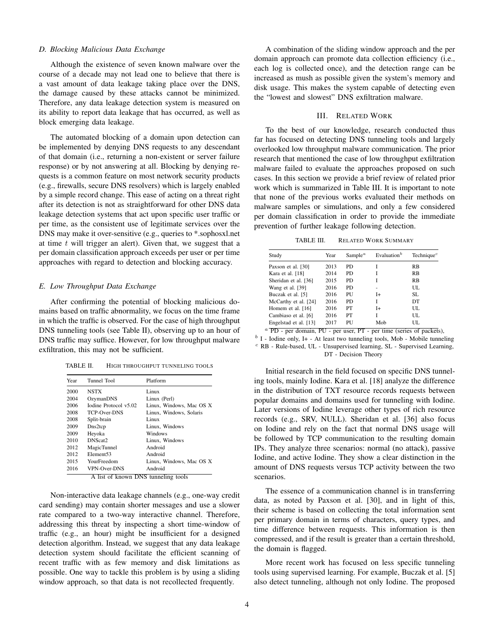### *D. Blocking Malicious Data Exchange*

Although the existence of seven known malware over the course of a decade may not lead one to believe that there is a vast amount of data leakage taking place over the DNS, the damage caused by these attacks cannot be minimized. Therefore, any data leakage detection system is measured on its ability to report data leakage that has occurred, as well as block emerging data leakage.

The automated blocking of a domain upon detection can be implemented by denying DNS requests to any descendant of that domain (i.e., returning a non-existent or server failure response) or by not answering at all. Blocking by denying requests is a common feature on most network security products (e.g., firewalls, secure DNS resolvers) which is largely enabled by a simple record change. This ease of acting on a threat right after its detection is not as straightforward for other DNS data leakage detection systems that act upon specific user traffic or per time, as the consistent use of legitimate services over the DNS may make it over-sensitive (e.g., queries to \*.sophosxl.net at time  $t$  will trigger an alert). Given that, we suggest that a per domain classification approach exceeds per user or per time approaches with regard to detection and blocking accuracy.

## *E. Low Throughput Data Exchange*

After confirming the potential of blocking malicious domains based on traffic abnormality, we focus on the time frame in which the traffic is observed. For the case of high throughput DNS tunneling tools (see Table II), observing up to an hour of DNS traffic may suffice. However, for low throughput malware exfiltration, this may not be sufficient.

TABLE II. HIGH THROUGHPUT TUNNELING TOOLS

| Year | Tunnel Tool                         | Platform                 |  |
|------|-------------------------------------|--------------------------|--|
| 2000 | <b>NSTX</b>                         | Linux                    |  |
| 2004 | OzymanDNS                           | Linux (Perl)             |  |
| 2006 | Iodine Protocol v5.02               | Linux, Windows, Mac OS X |  |
| 2008 | TCP-Over-DNS                        | Linux, Windows, Solaris  |  |
| 2008 | Split-brain                         | Linux                    |  |
| 2009 | Dns2tcp                             | Linux, Windows           |  |
| 2009 | Heyoka                              | Windows                  |  |
| 2010 | DNScat <sub>2</sub>                 | Linux, Windows           |  |
| 2012 | <b>MagicTunnel</b>                  | Android                  |  |
| 2012 | Element <sub>53</sub>               | Android                  |  |
| 2015 | YourFreedom                         | Linux, Windows, Mac OS X |  |
| 2016 | VPN-Over-DNS                        | Android                  |  |
|      | A list of known DNS tunneling tools |                          |  |

Non-interactive data leakage channels (e.g., one-way credit card sending) may contain shorter messages and use a slower rate compared to a two-way interactive channel. Therefore, addressing this threat by inspecting a short time-window of traffic (e.g., an hour) might be insufficient for a designed detection algorithm. Instead, we suggest that any data leakage detection system should facilitate the efficient scanning of recent traffic with as few memory and disk limitations as possible. One way to tackle this problem is by using a sliding window approach, so that data is not recollected frequently.

A combination of the sliding window approach and the per domain approach can promote data collection efficiency (i.e., each log is collected once), and the detection range can be increased as mush as possible given the system's memory and disk usage. This makes the system capable of detecting even the "lowest and slowest" DNS exfiltration malware.

## III. RELATED WORK

To the best of our knowledge, research conducted thus far has focused on detecting DNS tunneling tools and largely overlooked low throughput malware communication. The prior research that mentioned the case of low throughput exfiltration malware failed to evaluate the approaches proposed on such cases. In this section we provide a brief review of related prior work which is summarized in Table III. It is important to note that none of the previous works evaluated their methods on malware samples or simulations, and only a few considered per domain classification in order to provide the immediate prevention of further leakage following detection.

TABLE III. RELATED WORK SUMMARY

| Study                 | Year | Sample <sup><math>a</math></sup> | Evaluation <sup>b</sup> | Technique $c$ |
|-----------------------|------|----------------------------------|-------------------------|---------------|
| Paxson et al. [30]    | 2013 | PD                               |                         | <b>RB</b>     |
| Kara et al. [18]      | 2014 | <b>PD</b>                        |                         | <b>RB</b>     |
| Sheridan et al. [36]  | 2015 | <b>PD</b>                        |                         | <b>RB</b>     |
| Wang et al. [39]      | 2016 | PD.                              |                         | UL.           |
| Buczak et al. [5]     | 2016 | PU                               | $I+$                    | SL.           |
| McCarthy et al. [24]  | 2016 | <b>PD</b>                        | T                       | DT            |
| Homem et al. [16]     | 2016 | PT                               | $I+$                    | UL.           |
| Cambiaso et al. [6]   | 2016 | PT                               | T                       | UL.           |
| Engelstad et al. [13] | 2017 | PU                               | Mob                     | UL            |

 $a$  PD - per domain, PU - per user, PT - per time (series of packets),

 $<sup>b</sup>$  I - Iodine only, I+ - At least two tunneling tools, Mob - Mobile tunneling</sup>  $c$  RB - Rule-based, UL - Unsupervised learning, SL - Supervised Learning, DT - Decision Theory

Initial research in the field focused on specific DNS tunneling tools, mainly Iodine. Kara et al. [18] analyze the difference in the distribution of TXT resource records requests between popular domains and domains used for tunneling with Iodine. Later versions of Iodine leverage other types of rich resource records (e.g., SRV, NULL). Sheridan et al. [36] also focus on Iodine and rely on the fact that normal DNS usage will be followed by TCP communication to the resulting domain IPs. They analyze three scenarios: normal (no attack), passive Iodine, and active Iodine. They show a clear distinction in the amount of DNS requests versus TCP activity between the two scenarios.

The essence of a communication channel is in transferring data, as noted by Paxson et al. [30], and in light of this, their scheme is based on collecting the total information sent per primary domain in terms of characters, query types, and time difference between requests. This information is then compressed, and if the result is greater than a certain threshold, the domain is flagged.

More recent work has focused on less specific tunneling tools using supervised learning. For example, Buczak et al. [5] also detect tunneling, although not only Iodine. The proposed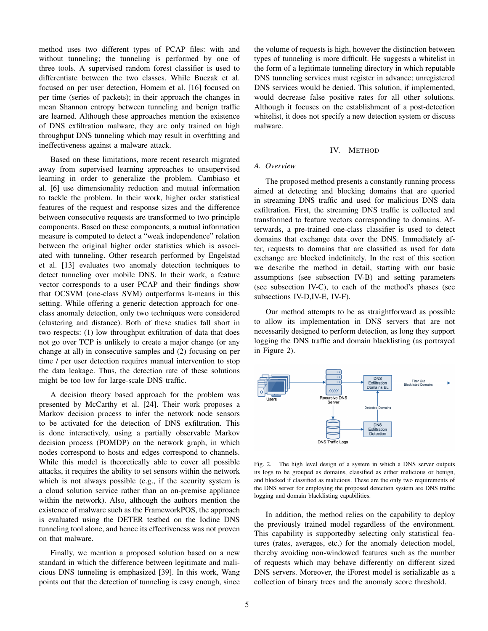method uses two different types of PCAP files: with and without tunneling; the tunneling is performed by one of three tools. A supervised random forest classifier is used to differentiate between the two classes. While Buczak et al. focused on per user detection, Homem et al. [16] focused on per time (series of packets); in their approach the changes in mean Shannon entropy between tunneling and benign traffic are learned. Although these approaches mention the existence of DNS exfiltration malware, they are only trained on high throughput DNS tunneling which may result in overfitting and ineffectiveness against a malware attack.

Based on these limitations, more recent research migrated away from supervised learning approaches to unsupervised learning in order to generalize the problem. Cambiaso et al. [6] use dimensionality reduction and mutual information to tackle the problem. In their work, higher order statistical features of the request and response sizes and the difference between consecutive requests are transformed to two principle components. Based on these components, a mutual information measure is computed to detect a "weak independence" relation between the original higher order statistics which is associated with tunneling. Other research performed by Engelstad et al. [13] evaluates two anomaly detection techniques to detect tunneling over mobile DNS. In their work, a feature vector corresponds to a user PCAP and their findings show that OCSVM (one-class SVM) outperforms k-means in this setting. While offering a generic detection approach for oneclass anomaly detection, only two techniques were considered (clustering and distance). Both of these studies fall short in two respects: (1) low throughput exfiltration of data that does not go over TCP is unlikely to create a major change (or any change at all) in consecutive samples and (2) focusing on per time / per user detection requires manual intervention to stop the data leakage. Thus, the detection rate of these solutions might be too low for large-scale DNS traffic.

A decision theory based approach for the problem was presented by McCarthy et al. [24]. Their work proposes a Markov decision process to infer the network node sensors to be activated for the detection of DNS exfiltration. This is done interactively, using a partially observable Markov decision process (POMDP) on the network graph, in which nodes correspond to hosts and edges correspond to channels. While this model is theoretically able to cover all possible attacks, it requires the ability to set sensors within the network which is not always possible (e.g., if the security system is a cloud solution service rather than an on-premise appliance within the network). Also, although the authors mention the existence of malware such as the FrameworkPOS, the approach is evaluated using the DETER testbed on the Iodine DNS tunneling tool alone, and hence its effectiveness was not proven on that malware.

Finally, we mention a proposed solution based on a new standard in which the difference between legitimate and malicious DNS tunneling is emphasized [39]. In this work, Wang points out that the detection of tunneling is easy enough, since the volume of requests is high, however the distinction between types of tunneling is more difficult. He suggests a whitelist in the form of a legitimate tunneling directory in which reputable DNS tunneling services must register in advance; unregistered DNS services would be denied. This solution, if implemented, would decrease false positive rates for all other solutions. Although it focuses on the establishment of a post-detection whitelist, it does not specify a new detection system or discuss malware.

#### IV. METHOD

# *A. Overview*

The proposed method presents a constantly running process aimed at detecting and blocking domains that are queried in streaming DNS traffic and used for malicious DNS data exfiltration. First, the streaming DNS traffic is collected and transformed to feature vectors corresponding to domains. Afterwards, a pre-trained one-class classifier is used to detect domains that exchange data over the DNS. Immediately after, requests to domains that are classified as used for data exchange are blocked indefinitely. In the rest of this section we describe the method in detail, starting with our basic assumptions (see subsection IV-B) and setting parameters (see subsection IV-C), to each of the method's phases (see subsections IV-D,IV-E, IV-F).

Our method attempts to be as straightforward as possible to allow its implementation in DNS servers that are not necessarily designed to perform detection, as long they support logging the DNS traffic and domain blacklisting (as portrayed in Figure 2).



Fig. 2. The high level design of a system in which a DNS server outputs its logs to be grouped as domains, classified as either malicious or benign, and blocked if classified as malicious. These are the only two requirements of the DNS server for employing the proposed detection system are DNS traffic logging and domain blacklisting capabilities.

In addition, the method relies on the capability to deploy the previously trained model regardless of the environment. This capability is supportedby selecting only statistical features (rates, averages, etc.) for the anomaly detection model, thereby avoiding non-windowed features such as the number of requests which may behave differently on different sized DNS servers. Moreover, the iForest model is serializable as a collection of binary trees and the anomaly score threshold.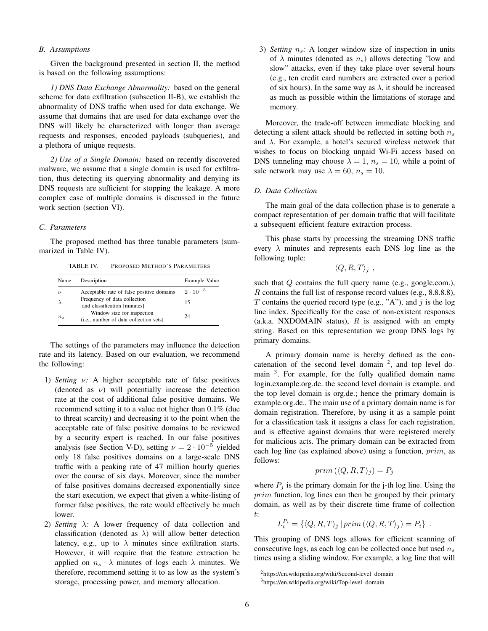# *B. Assumptions*

Given the background presented in section II, the method is based on the following assumptions:

*1) DNS Data Exchange Abnormality:* based on the general scheme for data exfiltration (subsection II-B), we establish the abnormality of DNS traffic when used for data exchange. We assume that domains that are used for data exchange over the DNS will likely be characterized with longer than average requests and responses, encoded payloads (subqueries), and a plethora of unique requests.

*2) Use of a Single Domain:* based on recently discovered malware, we assume that a single domain is used for exfiltration, thus detecting its querying abnormality and denying its DNS requests are sufficient for stopping the leakage. A more complex case of multiple domains is discussed in the future work section (section VI).

## *C. Parameters*

The proposed method has three tunable parameters (summarized in Table IV).

TABLE IV. PROPOSED METHOD'S PARAMETERS

| Name               | Description                                                                   | Example Value     |
|--------------------|-------------------------------------------------------------------------------|-------------------|
| $\boldsymbol{\nu}$ | Acceptable rate of false positive domains                                     | $2 \cdot 10^{-5}$ |
|                    | Frequency of data collection<br>and classification [minutes]                  | 15                |
| $n_{\rm s}$        | Window size for inspection<br>( <i>i.e.</i> , number of data collection sets) | 24                |

The settings of the parameters may influence the detection rate and its latency. Based on our evaluation, we recommend the following:

- 1) *Setting* ν*:* A higher acceptable rate of false positives (denoted as  $\nu$ ) will potentially increase the detection rate at the cost of additional false positive domains. We recommend setting it to a value not higher than 0.1% (due to threat scarcity) and decreasing it to the point when the acceptable rate of false positive domains to be reviewed by a security expert is reached. In our false positives analysis (see Section V-D), setting  $\nu = 2 \cdot 10^{-5}$  yielded only 18 false positives domains on a large-scale DNS traffic with a peaking rate of 47 million hourly queries over the course of six days. Moreover, since the number of false positives domains decreased exponentially since the start execution, we expect that given a white-listing of former false positives, the rate would effectively be much lower.
- 2) *Setting*  $\lambda$ : A lower frequency of data collection and classification (denoted as  $\lambda$ ) will allow better detection latency, e.g., up to  $\lambda$  minutes since exfiltration starts. However, it will require that the feature extraction be applied on  $n_s \cdot \lambda$  minutes of logs each  $\lambda$  minutes. We therefore, recommend setting it to as low as the system's storage, processing power, and memory allocation.

3) *Setting*  $n_s$ : A longer window size of inspection in units of  $\lambda$  minutes (denoted as  $n_s$ ) allows detecting "low and slow" attacks, even if they take place over several hours (e.g., ten credit card numbers are extracted over a period of six hours). In the same way as  $\lambda$ , it should be increased as much as possible within the limitations of storage and memory.

Moreover, the trade-off between immediate blocking and detecting a silent attack should be reflected in setting both  $n<sub>s</sub>$ and  $\lambda$ . For example, a hotel's secured wireless network that wishes to focus on blocking unpaid Wi-Fi access based on DNS tunneling may choose  $\lambda = 1$ ,  $n_s = 10$ , while a point of sale network may use  $\lambda = 60$ ,  $n_s = 10$ .

## *D. Data Collection*

The main goal of the data collection phase is to generate a compact representation of per domain traffic that will facilitate a subsequent efficient feature extraction process.

This phase starts by processing the streaming DNS traffic every  $\lambda$  minutes and represents each DNS log line as the following tuple:

$$
\langle Q, R, T \rangle_j \; ,
$$

such that  $Q$  contains the full query name (e.g., google.com.), R contains the full list of response record values (e.g., 8.8.8.8), T contains the queried record type (e.g., "A"), and  $j$  is the log line index. Specifically for the case of non-existent responses (a.k.a. NXDOMAIN status),  $R$  is assigned with an empty string. Based on this representation we group DNS logs by primary domains.

A primary domain name is hereby defined as the concatenation of the second level domain  $2$ , and top level domain <sup>3</sup>. For example, for the fully qualified domain name login.example.org.de. the second level domain is example. and the top level domain is org.de.; hence the primary domain is example.org.de.. The main use of a primary domain name is for domain registration. Therefore, by using it as a sample point for a classification task it assigns a class for each registration, and is effective against domains that were registered merely for malicious acts. The primary domain can be extracted from each log line (as explained above) using a function, prim, as follows:

$$
prim(\langle Q, R, T \rangle_j) = P_j
$$

where  $P_j$  is the primary domain for the j-th log line. Using the prim function, log lines can then be grouped by their primary domain, as well as by their discrete time frame of collection t:

$$
L_t^{P_i} = \{ \langle Q, R, T \rangle_j \, | \, \text{prim} \left( \langle Q, R, T \rangle_j \right) = P_i \} .
$$

This grouping of DNS logs allows for efficient scanning of consecutive logs, as each log can be collected once but used  $n<sub>s</sub>$ times using a sliding window. For example, a log line that will

<sup>&</sup>lt;sup>2</sup>https://en.wikipedia.org/wiki/Second-level\_domain

<sup>&</sup>lt;sup>3</sup>https://en.wikipedia.org/wiki/Top-level\_domain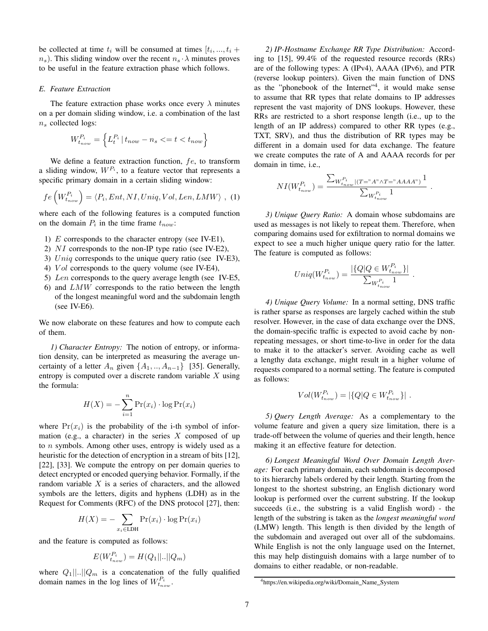be collected at time  $t_i$  will be consumed at times  $[t_i, ..., t_i +$  $n_s$ ). This sliding window over the recent  $n_s \cdot \lambda$  minutes proves to be useful in the feature extraction phase which follows.

# *E. Feature Extraction*

The feature extraction phase works once every  $\lambda$  minutes on a per domain sliding window, i.e. a combination of the last  $n<sub>s</sub>$  collected logs:

$$
W_{t_{now}}^{P_i} = \left\{ L_t^{P_i} \, | \, t_{now} - n_s \leq t < t_{now} \right\}
$$

We define a feature extraction function,  $fe$ , to transform a sliding window,  $W^{P_i}$ , to a feature vector that represents a specific primary domain in a certain sliding window:

$$
fe\left(W_{t_{now}}^{P_i}\right) = \langle P_i, Ent, NI, Uniq, Vol, Len, LMW \rangle , (1)
$$

where each of the following features is a computed function on the domain  $P_i$  in the time frame  $t_{now}$ :

- 1)  $E$  corresponds to the character entropy (see IV-E1),
- 2) NI corresponds to the non-IP type ratio (see IV-E2),
- 3) Uniq corresponds to the unique query ratio (see IV-E3),
- 4) *Vol* corresponds to the query volume (see IV-E4),
- 5) Len corresponds to the query average length (see IV-E5,
- 6) and LMW corresponds to the ratio between the length of the longest meaningful word and the subdomain length (see IV-E6).

We now elaborate on these features and how to compute each of them.

*1) Character Entropy:* The notion of entropy, or information density, can be interpreted as measuring the average uncertainty of a letter  $A_n$  given  $\{A_1, ..., A_{n-1}\}$  [35]. Generally, entropy is computed over a discrete random variable  $X$  using the formula:

$$
H(X) = -\sum_{i=1}^{n} \Pr(x_i) \cdot \log \Pr(x_i)
$$

where  $Pr(x_i)$  is the probability of the i-th symbol of information (e.g., a character) in the series  $X$  composed of up to n symbols. Among other uses, entropy is widely used as a heuristic for the detection of encryption in a stream of bits [12], [22], [33]. We compute the entropy on per domain queries to detect encrypted or encoded querying behavior. Formally, if the random variable  $X$  is a series of characters, and the allowed symbols are the letters, digits and hyphens (LDH) as in the Request for Comments (RFC) of the DNS protocol [27], then:

$$
H(X) = -\sum_{x_i \in \text{LDH}} \Pr(x_i) \cdot \log \Pr(x_i)
$$

and the feature is computed as follows:

$$
E(W_{t_{now}}^{P_i}) = H(Q_1||...||Q_m)
$$

where  $Q_1||...||Q_m$  is a concatenation of the fully qualified domain names in the log lines of  $W_{t_{now}}^{P_i}$ .

*2) IP-Hostname Exchange RR Type Distribution:* According to [15], 99.4% of the requested resource records (RRs) are of the following types: A (IPv4), AAAA (IPv6), and PTR (reverse lookup pointers). Given the main function of DNS as the "phonebook of the Internet"<sup>4</sup>, it would make sense to assume that RR types that relate domains to IP addresses represent the vast majority of DNS lookups. However, these RRs are restricted to a short response length (i.e., up to the length of an IP address) compared to other RR types (e.g., TXT, SRV), and thus the distribution of RR types may be different in a domain used for data exchange. The feature we create computes the rate of A and AAAA records for per domain in time, i.e.,

$$
NI(W_{t_{now}}^{P_i}) = \frac{\sum_{W_{t_{now}}^{P_i} | (T = "A" \land T = "AAAA")} 1}{\sum_{W_{t_{now}}^{P_i}} 1}.
$$

*3) Unique Query Ratio:* A domain whose subdomains are used as messages is not likely to repeat them. Therefore, when comparing domains used for exfiltration to normal domains we expect to see a much higher unique query ratio for the latter. The feature is computed as follows:

$$
Uniq(W_{t_{now}}^{P_i}) = \frac{|\{Q|Q \in W_{t_{now}}^{P_i}\}|}{\sum_{W_{t_{now}}^{P_i}} 1}
$$

.

*4) Unique Query Volume:* In a normal setting, DNS traffic is rather sparse as responses are largely cached within the stub resolver. However, in the case of data exchange over the DNS, the domain-specific traffic is expected to avoid cache by nonrepeating messages, or short time-to-live in order for the data to make it to the attacker's server. Avoiding cache as well a lengthy data exchange, might result in a higher volume of requests compared to a normal setting. The feature is computed as follows:

$$
Vol(W_{t_{now}}^{P_i}) = |\{Q|Q \in W_{t_{now}}^{P_i}\}|.
$$

*5) Query Length Average:* As a complementary to the volume feature and given a query size limitation, there is a trade-off between the volume of queries and their length, hence making it an effective feature for detection.

*6) Longest Meaningful Word Over Domain Length Average:* For each primary domain, each subdomain is decomposed to its hierarchy labels ordered by their length. Starting from the longest to the shortest substring, an English dictionary word lookup is performed over the current substring. If the lookup succeeds (i.e., the substring is a valid English word) - the length of the substring is taken as the *longest meaningful word* (LMW) length. This length is then divided by the length of the subdomain and averaged out over all of the subdomains. While English is not the only language used on the Internet, this may help distinguish domains with a large number of to domains to either readable, or non-readable.

<sup>&</sup>lt;sup>4</sup>https://en.wikipedia.org/wiki/Domain\_Name\_System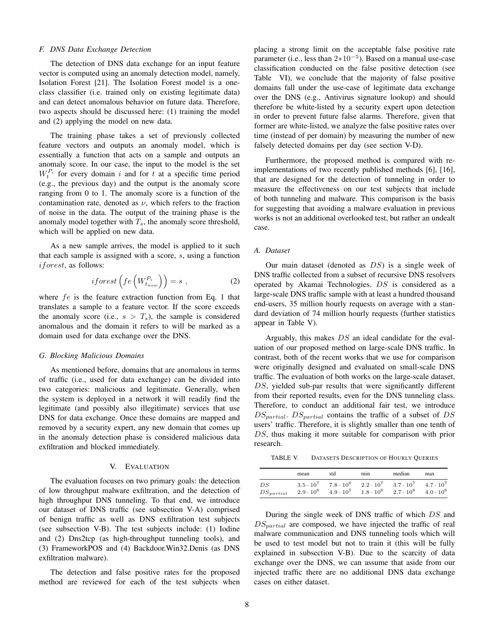### *F. DNS Data Exchange Detection*

The detection of DNS data exchange for an input feature vector is computed using an anomaly detection model, namely, Isolation Forest [21]. The Isolation Forest model is a oneclass classifier (i.e. trained only on existing legitimate data) and can detect anomalous behavior on future data. Therefore, two aspects should be discussed here: (1) training the model and (2) applying the model on new data.

The training phase takes a set of previously collected feature vectors and outputs an anomaly model, which is essentially a function that acts on a sample and outputs an anomaly score. In our case, the input to the model is the set  $W_t^{P_i}$  for every domain i and for t at a specific time period (e.g., the previous day) and the output is the anomaly score ranging from 0 to 1. The anomaly score is a function of the contamination rate, denoted as  $\nu$ , which refers to the fraction of noise in the data. The output of the training phase is the anomaly model together with  $T_s$ , the anomaly score threshold, which will be applied on new data.

As a new sample arrives, the model is applied to it such that each sample is assigned with a score, s, using a function iforest, as follows:

$$
if or est \left( fe \left( W_{t_{now}}^{P_i} \right) \right) = s , \qquad (2)
$$

where  $fe$  is the feature extraction function from Eq. 1 that translates a sample to a feature vector. If the score exceeds the anomaly score (i.e.,  $s > T_s$ ), the sample is considered anomalous and the domain it refers to will be marked as a domain used for data exchange over the DNS.

# *G. Blocking Malicious Domains*

As mentioned before, domains that are anomalous in terms of traffic (i.e., used for data exchange) can be divided into two categories: malicious and legitimate. Generally, when the system is deployed in a network it will readily find the legitimate (and possibly also illegitimate) services that use DNS for data exchange. Once these domains are mapped and removed by a security expert, any new domain that comes up in the anomaly detection phase is considered malicious data exfiltration and blocked immediately.

#### V. EVALUATION

The evaluation focuses on two primary goals: the detection of low throughput malware exfiltration, and the detection of high throughput DNS tunneling. To that end, we introduce our dataset of DNS traffic (see subsection V-A) comprised of benign traffic as well as DNS exfiltration test subjects (see subsection V-B). The test subjects include: (1) Iodine and (2) Dns2tcp (as high-throughput tunneling tools), and (3) FrameworkPOS and (4) Backdoor.Win32.Denis (as DNS exfiltration malware).

The detection and false positive rates for the proposed method are reviewed for each of the test subjects when placing a strong limit on the acceptable false positive rate parameter (i.e., less than  $2*10^{-5}$ ). Based on a manual use-case classification conducted on the false positive detection (see Table VI), we conclude that the majority of false positive domains fall under the use-case of legitimate data exchange over the DNS (e.g., Antivirus signature lookup) and should therefore be white-listed by a security expert upon detection in order to prevent future false alarms. Therefore, given that former are white-listed, we analyze the false positive rates over time (instead of per domain) by measuring the number of new falsely detected domains per day (see section V-D).

Furthermore, the proposed method is compared with reimplementations of two recently published methods [6], [16], that are designed for the detection of tunneling in order to measure the effectiveness on our test subjects that include of both tunneling and malware. This comparison is the basis for suggesting that avoiding a malware evaluation in previous works is not an additional overlooked test, but rather an undealt case.

## *A. Dataset*

Our main dataset (denoted as  $DS$ ) is a single week of DNS traffic collected from a subset of recursive DNS resolvers operated by Akamai Technologies. DS is considered as a large-scale DNS traffic sample with at least a hundred thousand end-users, 35 million hourly requests on average with a standard deviation of 74 million hourly requests (further statistics appear in Table V).

Arguably, this makes DS an ideal candidate for the evaluation of our proposed method on large-scale DNS traffic. In contrast, both of the recent works that we use for comparison were originally designed and evaluated on small-scale DNS traffic. The evaluation of both works on the large-scale dataset, DS, yielded sub-par results that were significantly different from their reported results, even for the DNS tunneling class. Therefore, to conduct an additional fair test, we introduce  $DS_{partial}$ .  $DS_{partial}$  contains the traffic of a subset of DS users' traffic. Therefore, it is slightly smaller than one tenth of DS, thus making it more suitable for comparison with prior research.

TABLE V. DATASETS DESCRIPTION OF HOURLY QUERIES

|                | mean             | std              | min                | median           | max                |
|----------------|------------------|------------------|--------------------|------------------|--------------------|
| DS             | $3.5 \cdot 10^7$ | $7.8 \cdot 10^6$ | $2.2 \cdot 10^7$   | $3.7 \cdot 10^7$ | $4.7 \cdot 10^{7}$ |
| $DS_{partial}$ | $2.9 \cdot 10^6$ | $4.9 \cdot 10^5$ | $1.8 \cdot 10^{6}$ | $2.7 \cdot 10^6$ | $4.0 \cdot 10^6$   |

During the single week of DNS traffic of which DS and  $DS<sub>partial</sub>$  are composed, we have injected the traffic of real malware communication and DNS tunneling tools which will be used to test model but not to train it (this will be fully explained in subsection V-B). Due to the scarcity of data exchange over the DNS, we can assume that aside from our injected traffic there are no additional DNS data exchange cases on either dataset.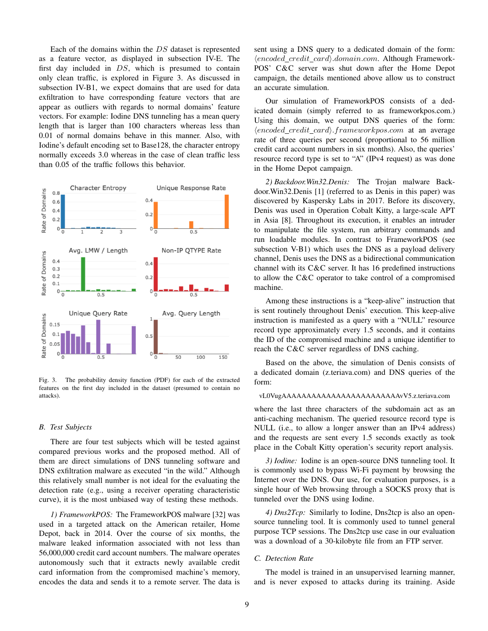Each of the domains within the DS dataset is represented as a feature vector, as displayed in subsection IV-E. The first day included in DS, which is presumed to contain only clean traffic, is explored in Figure 3. As discussed in subsection IV-B1, we expect domains that are used for data exfiltration to have corresponding feature vectors that are appear as outliers with regards to normal domains' feature vectors. For example: Iodine DNS tunneling has a mean query length that is larger than 100 characters whereas less than 0.01 of normal domains behave in this manner. Also, with Iodine's default encoding set to Base128, the character entropy normally exceeds 3.0 whereas in the case of clean traffic less than 0.05 of the traffic follows this behavior.



Fig. 3. The probability density function (PDF) for each of the extracted features on the first day included in the dataset (presumed to contain no attacks).

#### *B. Test Subjects*

There are four test subjects which will be tested against compared previous works and the proposed method. All of them are direct simulations of DNS tunneling software and DNS exfiltration malware as executed "in the wild." Although this relatively small number is not ideal for the evaluating the detection rate (e.g., using a receiver operating characteristic curve), it is the most unbiased way of testing these methods.

*1) FrameworkPOS:* The FrameworkPOS malware [32] was used in a targeted attack on the American retailer, Home Depot, back in 2014. Over the course of six months, the malware leaked information associated with not less than 56,000,000 credit card account numbers. The malware operates autonomously such that it extracts newly available credit card information from the compromised machine's memory, encodes the data and sends it to a remote server. The data is sent using a DNS query to a dedicated domain of the form:  $\langle encoded\_credit\_card \rangle$ .domain.com. Although Framework-POS' C&C server was shut down after the Home Depot campaign, the details mentioned above allow us to construct an accurate simulation.

Our simulation of FrameworkPOS consists of a dedicated domain (simply referred to as frameworkpos.com.) Using this domain, we output DNS queries of the form:  $\langle encoded\ credit\ card \rangle$ .frameworkpos.com at an average rate of three queries per second (proportional to 56 million credit card account numbers in six months). Also, the queries' resource record type is set to "A" (IPv4 request) as was done in the Home Depot campaign.

*2) Backdoor.Win32.Denis:* The Trojan malware Backdoor.Win32.Denis [1] (referred to as Denis in this paper) was discovered by Kaspersky Labs in 2017. Before its discovery, Denis was used in Operation Cobalt Kitty, a large-scale APT in Asia [8]. Throughout its execution, it enables an intruder to manipulate the file system, run arbitrary commands and run loadable modules. In contrast to FrameworkPOS (see subsection V-B1) which uses the DNS as a payload delivery channel, Denis uses the DNS as a bidirectional communication channel with its C&C server. It has 16 predefined instructions to allow the C&C operator to take control of a compromised machine.

Among these instructions is a "keep-alive" instruction that is sent routinely throughout Denis' execution. This keep-alive instruction is manifested as a query with a "NULL" resource record type approximately every 1.5 seconds, and it contains the ID of the compromised machine and a unique identifier to reach the C&C server regardless of DNS caching.

Based on the above, the simulation of Denis consists of a dedicated domain (z.teriava.com) and DNS queries of the form:

## vL0VugAAAAAAAAAAAAAAAAAAAAAAAAvV5.z.teriava.com

where the last three characters of the subdomain act as an anti-caching mechanism. The queried resource record type is NULL (i.e., to allow a longer answer than an IPv4 address) and the requests are sent every 1.5 seconds exactly as took place in the Cobalt Kitty operation's security report analysis.

*3) Iodine:* Iodine is an open-source DNS tunneling tool. It is commonly used to bypass Wi-Fi payment by browsing the Internet over the DNS. Our use, for evaluation purposes, is a single hour of Web browsing through a SOCKS proxy that is tunneled over the DNS using Iodine.

*4) Dns2Tcp:* Similarly to Iodine, Dns2tcp is also an opensource tunneling tool. It is commonly used to tunnel general purpose TCP sessions. The Dns2tcp use case in our evaluation was a download of a 30-kilobyte file from an FTP server.

## *C. Detection Rate*

The model is trained in an unsupervised learning manner, and is never exposed to attacks during its training. Aside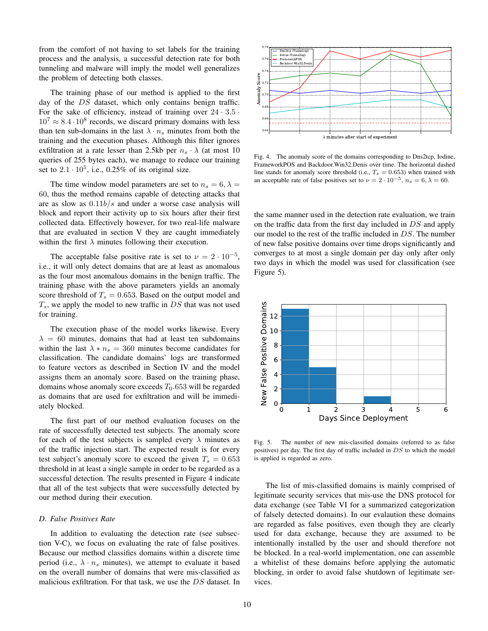from the comfort of not having to set labels for the training process and the analysis, a successful detection rate for both tunneling and malware will imply the model well generalizes the problem of detecting both classes.

The training phase of our method is applied to the first day of the DS dataset, which only contains benign traffic. For the sake of efficiency, instead of training over  $24 \cdot 3.5 \cdot$  $10^7 \approx 8.4 \cdot 10^8$  records, we discard primary domains with less than ten sub-domains in the last  $\lambda \cdot n_s$  minutes from both the training and the execution phases. Although this filter ignores exfiltration at a rate lesser than 2.5kb per  $n_s \cdot \lambda$  (at most 10 queries of 255 bytes each), we manage to reduce our training set to  $2.1 \cdot 10^5$ , i.e., 0.25% of its original size.

The time window model parameters are set to  $n_s = 6, \lambda =$ 60, thus the method remains capable of detecting attacks that are as slow as  $0.11b/s$  and under a worse case analysis will block and report their activity up to six hours after their first collected data. Effectively however, for two real-life malware that are evaluated in section V they are caught immediately within the first  $\lambda$  minutes following their execution.

The acceptable false positive rate is set to  $\nu = 2 \cdot 10^{-5}$ , i.e., it will only detect domains that are at least as anomalous as the four most anomalous domains in the benign traffic. The training phase with the above parameters yields an anomaly score threshold of  $T_s = 0.653$ . Based on the output model and  $T_s$ , we apply the model to new traffic in DS that was not used for training.

The execution phase of the model works likewise. Every  $\lambda = 60$  minutes, domains that had at least ten subdomains within the last  $\lambda * n_s = 360$  minutes become candidates for classification. The candidate domains' logs are transformed to feature vectors as described in Section IV and the model assigns them an anomaly score. Based on the training phase, domains whose anomaly score exceeds  $T<sub>0</sub>$ .653 will be regarded as domains that are used for exfiltration and will be immediately blocked.

The first part of our method evaluation focuses on the rate of successfully detected test subjects. The anomaly score for each of the test subjects is sampled every  $\lambda$  minutes as of the traffic injection start. The expected result is for every test subject's anomaly score to exceed the given  $T_s = 0.653$ threshold in at least a single sample in order to be regarded as a successful detection. The results presented in Figure 4 indicate that all of the test subjects that were successfully detected by our method during their execution.

#### *D. False Positives Rate*

In addition to evaluating the detection rate (see subsection V-C), we focus on evaluating the rate of false positives. Because our method classifies domains within a discrete time period (i.e.,  $\lambda \cdot n_s$  minutes), we attempt to evaluate it based on the overall number of domains that were mis-classified as malicious exfiltration. For that task, we use the DS dataset. In



Fig. 4. The anomaly score of the domains corresponding to Dns2tcp, Iodine, FrameworkPOS and Backdoor.Win32.Denis over time. The horizontal dashed line stands for anomaly score threshold (i.e.,  $T_s = 0.653$ ) when trained with an acceptable rate of false positives set to  $\nu = 2 \cdot 10^{-5}$ ,  $n_s = 6$ ,  $\lambda = 60$ .

the same manner used in the detection rate evaluation, we train on the traffic data from the first day included in DS and apply our model to the rest of the traffic included in DS. The number of new false positive domains over time drops significantly and converges to at most a single domain per day only after only two days in which the model was used for classification (see Figure 5).



Fig. 5. The number of new mis-classified domains (referred to as false positives) per day. The first day of traffic included in DS to which the model is applied is regarded as zero.

The list of mis-classified domains is mainly comprised of legitimate security services that mis-use the DNS protocol for data exchange (see Table VI for a summarized categorization of falsely detected domains). In our evalaution these domains are regarded as false positives, even though they are clearly used for data exchange, because they are assumed to be intentionally installed by the user and should therefore not be blocked. In a real-world implementation, one can assemble a whitelist of these domains before applying the automatic blocking, in order to avoid false shutdown of legitimate services.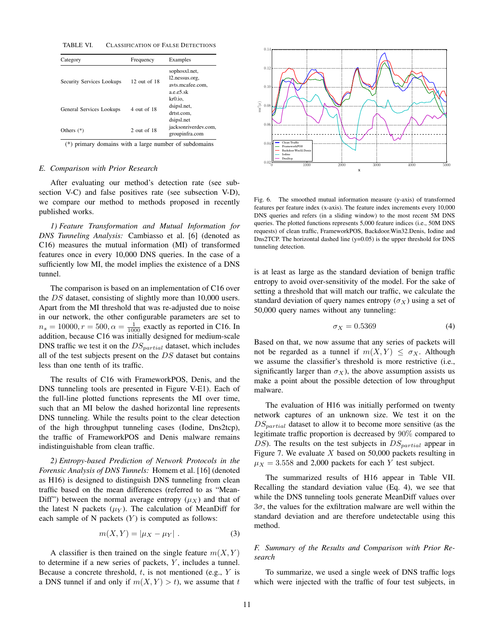TABLE VI. CLASSIFICATION OF FALSE DETECTIONS

| Category                  | Frequency        | Examples                                                              |
|---------------------------|------------------|-----------------------------------------------------------------------|
| Security Services Lookups | $12$ out of $18$ | sophosxl.net,<br>12.nessus.org.<br>avts.mcafee.com.<br>$a.e.e. 5.$ sk |
| General Services Lookups  | 4 out of 18      | kr0.io.<br>dsipsl.net,<br>drtst.com,<br>dsipsl.net                    |
| Others $(*)$              | $2$ out of $18$  | jacksonriverdev.com,<br>groupinfra.com                                |

(\*) primary domains with a large number of subdomains

#### *E. Comparison with Prior Research*

After evaluating our method's detection rate (see subsection V-C) and false positives rate (see subsection V-D), we compare our method to methods proposed in recently published works.

*1) Feature Transformation and Mutual Information for DNS Tunneling Analysis:* Cambiasso et al. [6] (denoted as C16) measures the mutual information (MI) of transformed features once in every 10,000 DNS queries. In the case of a sufficiently low MI, the model implies the existence of a DNS tunnel.

The comparison is based on an implementation of C16 over the DS dataset, consisting of slightly more than 10,000 users. Apart from the MI threshold that was re-adjusted due to noise in our network, the other configurable parameters are set to  $n_s = 10000, r = 500, \alpha = \frac{1}{1000}$  exactly as reported in C16. In addition, because C16 was initially designed for medium-scale DNS traffic we test it on the  $DS_{partial}$  dataset, which includes all of the test subjects present on the  $DS$  dataset but contains less than one tenth of its traffic.

The results of C16 with FrameworkPOS, Denis, and the DNS tunneling tools are presented in Figure V-E1). Each of the full-line plotted functions represents the MI over time, such that an MI below the dashed horizontal line represents DNS tunneling. While the results point to the clear detection of the high throughput tunneling cases (Iodine, Dns2tcp), the traffic of FrameworkPOS and Denis malware remains indistinguishable from clean traffic.

*2) Entropy-based Prediction of Network Protocols in the Forensic Analysis of DNS Tunnels:* Homem et al. [16] (denoted as H16) is designed to distinguish DNS tunneling from clean traffic based on the mean differences (referred to as "Mean-Diff") between the normal average entropy  $(\mu_X)$  and that of the latest N packets  $(\mu_Y)$ . The calculation of MeanDiff for each sample of N packets  $(Y)$  is computed as follows:

$$
m(X,Y) = |\mu_X - \mu_Y| \tag{3}
$$

A classifier is then trained on the single feature  $m(X, Y)$ to determine if a new series of packets,  $Y$ , includes a tunnel. Because a concrete threshold,  $t$ , is not mentioned (e.g.,  $Y$  is a DNS tunnel if and only if  $m(X, Y) > t$ , we assume that t



Fig. 6. The smoothed mutual information measure (y-axis) of transformed features per feature index (x-axis). The feature index increments every 10,000 DNS queries and refers (in a sliding window) to the most recent 5M DNS queries. The plotted functions represents 5,000 feature indices (i.e., 50M DNS requests) of clean traffic, FrameworkPOS, Backdoor.Win32.Denis, Iodine and Dns2TCP. The horizontal dashed line  $(y=0.05)$  is the upper threshold for DNS tunneling detection.

is at least as large as the standard deviation of benign traffic entropy to avoid over-sensitivity of the model. For the sake of setting a threshold that will match our traffic, we calculate the standard deviation of query names entropy  $(\sigma_X)$  using a set of 50,000 query names without any tunneling:

$$
\sigma_X = 0.5369\tag{4}
$$

Based on that, we now assume that any series of packets will not be regarded as a tunnel if  $m(X, Y) \leq \sigma_X$ . Although we assume the classifier's threshold is more restrictive (i.e., significantly larger than  $\sigma_X$ ), the above assumption assists us make a point about the possible detection of low throughput malware.

The evaluation of H16 was initially performed on twenty network captures of an unknown size. We test it on the  $DS_{partial}$  dataset to allow it to become more sensitive (as the legitimate traffic proportion is decreased by 90% compared to DS). The results on the test subjects in  $DS_{partial}$  appear in Figure 7. We evaluate  $X$  based on 50,000 packets resulting in  $\mu_X = 3.558$  and 2,000 packets for each Y test subject.

The summarized results of H16 appear in Table VII. Recalling the standard deviation value (Eq. 4), we see that while the DNS tunneling tools generate MeanDiff values over  $3\sigma$ , the values for the exfiltration malware are well within the standard deviation and are therefore undetectable using this method.

# *F. Summary of the Results and Comparison with Prior Research*

To summarize, we used a single week of DNS traffic logs which were injected with the traffic of four test subjects, in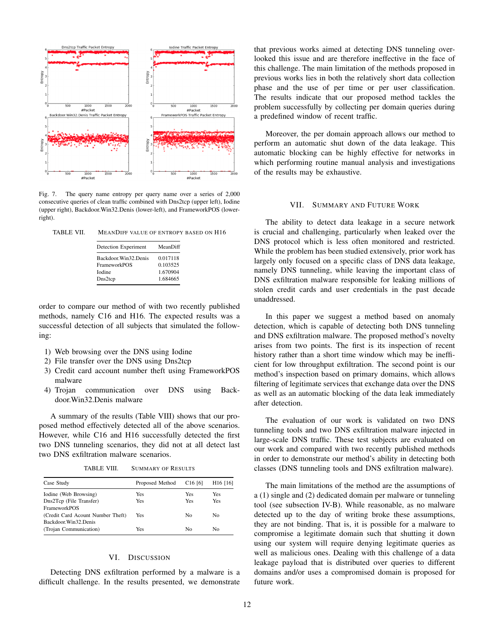

Fig. 7. The query name entropy per query name over a series of 2,000 consecutive queries of clean traffic combined with Dns2tcp (upper left), Iodine (upper right), Backdoor.Win32.Denis (lower-left), and FrameworkPOS (lowerright).

| TABLE VII. | MEANDIFF VALUE OF ENTROPY BASED ON H16 |  |  |  |  |
|------------|----------------------------------------|--|--|--|--|
|------------|----------------------------------------|--|--|--|--|

| Detection Experiment   | MeanDiff |
|------------------------|----------|
| Backdoor. Win32. Denis | 0.017118 |
| FrameworkPOS           | 0.103525 |
| <b>I</b> odine         | 1.670904 |
| Dns2tcp                | 1.684665 |

order to compare our method of with two recently published methods, namely C16 and H16. The expected results was a successful detection of all subjects that simulated the following:

- 1) Web browsing over the DNS using Iodine
- 2) File transfer over the DNS using Dns2tcp
- 3) Credit card account number theft using FrameworkPOS malware
- 4) Trojan communication over DNS using Backdoor.Win32.Denis malware

A summary of the results (Table VIII) shows that our proposed method effectively detected all of the above scenarios. However, while C16 and H16 successfully detected the first two DNS tunneling scenarios, they did not at all detect last two DNS exfiltration malware scenarios.

TABLE VIII. SUMMARY OF RESULTS

| Case Study                        | Proposed Method | C <sub>16</sub> [6] | H <sub>16</sub> [16] |
|-----------------------------------|-----------------|---------------------|----------------------|
| Iodine (Web Browsing)             | Yes             | Yes                 | Yes                  |
| Dns2Tcp (File Transfer)           | Yes             | Yes                 | Yes                  |
| FrameworkPOS                      |                 |                     |                      |
| (Credit Card Acount Number Theft) | Yes             | No                  | No                   |
| Backdoor.Win32.Denis              |                 |                     |                      |
| (Trojan Communication)            | Yes             | No                  | No                   |

# VI. DISCUSSION

Detecting DNS exfiltration performed by a malware is a difficult challenge. In the results presented, we demonstrate that previous works aimed at detecting DNS tunneling overlooked this issue and are therefore ineffective in the face of this challenge. The main limitation of the methods proposed in previous works lies in both the relatively short data collection phase and the use of per time or per user classification. The results indicate that our proposed method tackles the problem successfully by collecting per domain queries during a predefined window of recent traffic.

Moreover, the per domain approach allows our method to perform an automatic shut down of the data leakage. This automatic blocking can be highly effective for networks in which performing routine manual analysis and investigations of the results may be exhaustive.

## VII. SUMMARY AND FUTURE WORK

The ability to detect data leakage in a secure network is crucial and challenging, particularly when leaked over the DNS protocol which is less often monitored and restricted. While the problem has been studied extensively, prior work has largely only focused on a specific class of DNS data leakage, namely DNS tunneling, while leaving the important class of DNS exfiltration malware responsible for leaking millions of stolen credit cards and user credentials in the past decade unaddressed.

In this paper we suggest a method based on anomaly detection, which is capable of detecting both DNS tunneling and DNS exfiltration malware. The proposed method's novelty arises from two points. The first is its inspection of recent history rather than a short time window which may be inefficient for low throughput exfiltration. The second point is our method's inspection based on primary domains, which allows filtering of legitimate services that exchange data over the DNS as well as an automatic blocking of the data leak immediately after detection.

The evaluation of our work is validated on two DNS tunneling tools and two DNS exfiltration malware injected in large-scale DNS traffic. These test subjects are evaluated on our work and compared with two recently published methods in order to demonstrate our method's ability in detecting both classes (DNS tunneling tools and DNS exfiltration malware).

The main limitations of the method are the assumptions of a (1) single and (2) dedicated domain per malware or tunneling tool (see subsection IV-B). While reasonable, as no malware detected up to the day of writing broke these assumptions, they are not binding. That is, it is possible for a malware to compromise a legitimate domain such that shutting it down using our system will require denying legitimate queries as well as malicious ones. Dealing with this challenge of a data leakage payload that is distributed over queries to different domains and/or uses a compromised domain is proposed for future work.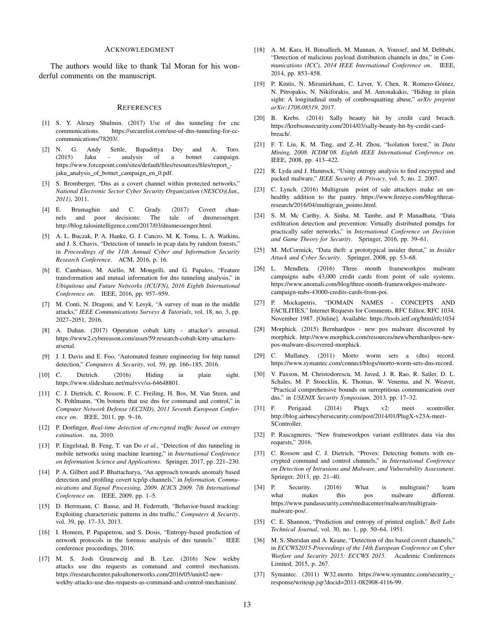### ACKNOWLEDGMENT

The authors would like to thank Tal Moran for his wonderful comments on the manuscript.

#### **REFERENCES**

- [1] S. Y. Alexey Shulmin. (2017) Use of dns tunneling for cnc communications. https://securelist.com/use-of-dns-tunneling-for-cccommunications/78203/.
- [2] N. G. Andy Settle, Bapadittya Dey and A. Toro. (2015) Jaku - analysis of a botnet campaign. https://www.forcepoint.com/sites/default/files/resources/files/report jaku\_analysis\_of\_botnet\_campaign\_en\_0.pdf.
- [3] S. Bromberger, "Dns as a covert channel within protected networks," *National Electronic Sector Cyber Security Organization (NESCO)(Jan., 2011)*, 2011.
- [4] E. Brumaghin and C. Grady. (2017) Covert channels and poor decisions: The tale of dnsmessenger. http://blog.talosintelligence.com/2017/03/dnsmessenger.html.
- [5] A. L. Buczak, P. A. Hanke, G. J. Cancro, M. K. Toma, L. A. Watkins, and J. S. Chavis, "Detection of tunnels in pcap data by random forests," in *Proceedings of the 11th Annual Cyber and Information Security Research Conference*. ACM, 2016, p. 16.
- [6] E. Cambiaso, M. Aiello, M. Mongelli, and G. Papaleo, "Feature transformation and mutual information for dns tunneling analysis," in *Ubiquitous and Future Networks (ICUFN), 2016 Eighth International Conference on*. IEEE, 2016, pp. 957–959.
- [7] M. Conti, N. Dragoni, and V. Lesyk, "A survey of man in the middle attacks," *IEEE Communications Surveys & Tutorials*, vol. 18, no. 3, pp. 2027–2051, 2016.
- [8] A. Dahan. (2017) Operation cobalt kitty attacker's aresenal. https://www2.cybereason.com/asset/59:research-cobalt-kitty-attackersarsenal.
- [9] J. J. Davis and E. Foo, "Automated feature engineering for http tunnel detection," *Computers & Security*, vol. 59, pp. 166–185, 2016.
- [10] C. Dietrich. (2016) Hiding in plain sight. https://www.slideshare.net/malvvv/ss-64648801.
- [11] C. J. Dietrich, C. Rossow, F. C. Freiling, H. Bos, M. Van Steen, and N. Pohlmann, "On botnets that use dns for command and control," in *Computer Network Defense (EC2ND), 2011 Seventh European Conference on*. IEEE, 2011, pp. 9–16.
- [12] P. Dorfinger, *Real-time detection of encrypted traffic based on entropy estimation*. na, 2010.
- [13] P. Engelstad, B. Feng, T. van Do *et al.*, "Detection of dns tunneling in mobile networks using machine learning," in *International Conference on Information Science and Applications*. Springer, 2017, pp. 221–230.
- [14] P. A. Gilbert and P. Bhattacharya, "An approach towards anomaly based detection and profiling covert tcp/ip channels," in *Information, Communications and Signal Processing, 2009. ICICS 2009. 7th International Conference on*. IEEE, 2009, pp. 1–5.
- [15] D. Herrmann, C. Banse, and H. Federrath, "Behavior-based tracking: Exploiting characteristic patterns in dns traffic," *Computers & Security*, vol. 39, pp. 17–33, 2013.
- [16] I. Homem, P. Papapetrou, and S. Dosis, "Entropy-based prediction of network protocols in the forensic analysis of dns tunnels." IEEE conference proceedings, 2016.
- [17] M. S. Josh Grunzweig and B. Lee. (2016) New wekby attacks use dns requests as command and control mechanism. https://researchcenter.paloaltonetworks.com/2016/05/unit42-newwekby-attacks-use-dns-requests-as-command-and-control-mechanism/.
- [18] A. M. Kara, H. Binsalleeh, M. Mannan, A. Youssef, and M. Debbabi, "Detection of malicious payload distribution channels in dns," in *Communications (ICC), 2014 IEEE International Conference on*. IEEE, 2014, pp. 853–858.
- [19] P. Kintis, N. Miramirkhani, C. Lever, Y. Chen, R. Romero-Gómez, N. Pitropakis, N. Nikiforakis, and M. Antonakakis, "Hiding in plain sight: A longitudinal study of combosquatting abuse," *arXiv preprint arXiv:1708.08519*, 2017.
- [20] B. Krebs. (2014) Sally beauty hit by credit card breach. https://krebsonsecurity.com/2014/03/sally-beauty-hit-by-credit-cardbreach/.
- [21] F. T. Liu, K. M. Ting, and Z.-H. Zhou, "Isolation forest," in *Data Mining, 2008. ICDM'08. Eighth IEEE International Conference on*. IEEE, 2008, pp. 413–422.
- [22] R. Lyda and J. Hamrock, "Using entropy analysis to find encrypted and packed malware," *IEEE Security & Privacy*, vol. 5, no. 2, 2007.
- [23] C. Lynch. (2016) Multigrain point of sale attackers make an unhealthy addition to the pantry. https://www.fireeye.com/blog/threatresearch/2016/04/multigrain pointo.html.
- [24] S. M. Mc Carthy, A. Sinha, M. Tambe, and P. Manadhata, "Data exfiltration detection and prevention: Virtually distributed pomdps for practically safer networks," in *International Conference on Decision and Game Theory for Security*. Springer, 2016, pp. 39–61.
- [25] M. McCormick, "Data theft: a prototypical insider threat," in *Insider Attack and Cyber Security*. Springer, 2008, pp. 53–68.
- [26] L. Mendleta. (2016) Three month frameworkpos malware campaigns nabs 43,000 credit cards from point of sale systems. https://www.anomali.com/blog/three-month-frameworkpos-malwarecampaign-nabs-43000-credits-cards-from-poi.
- [27] P. Mockapetris, "DOMAIN NAMES CONCEPTS AND FACILITIES," Internet Requests for Comments, RFC Editor, RFC 1034, November 1987. [Online]. Available: https://tools.ietf.org/html/rfc1034
- [28] Morphick. (2015) Bernhardpos new pos malware discovered by morphick. http://www.morphick.com/resources/news/bernhardpos-newpos-malware-discovered-morphick.
- [29] C. Mullaney. (2011) Morto worm sets a (dns) record. https://www.symantec.com/connect/blogs/morto-worm-sets-dns-record.
- [30] V. Paxson, M. Christodorescu, M. Javed, J. R. Rao, R. Sailer, D. L. Schales, M. P. Stoecklin, K. Thomas, W. Venema, and N. Weaver, "Practical comprehensive bounds on surreptitious communication over dns." in *USENIX Security Symposium*, 2013, pp. 17–32.
- [31] F. Perigaud. (2014) Plugx v2: meet scontroller. http://blog.airbuscybersecurity.com/post/2014/01/PlugX-v23A-meet-SController.
- [32] P. Rascagneres, "New frameworkpos variant exfiltrates data via dns requests," 2016.
- [33] C. Rossow and C. J. Dietrich, "Provex: Detecting botnets with encrypted command and control channels," in *International Conference on Detection of Intrusions and Malware, and Vulnerability Assessment*. Springer, 2013, pp. 21–40.
- [34] P. Security. (2016) What is multigrain? learn what makes this pos malware different. https://www.pandasecurity.com/mediacenter/malware/multigrainmalware-pos/.
- [35] C. E. Shannon, "Prediction and entropy of printed english," *Bell Labs Technical Journal*, vol. 30, no. 1, pp. 50–64, 1951.
- [36] M. S. Sheridan and A. Keane, "Detection of dns based covert channels," in *ECCWS2015-Proceedings of the 14th European Conference on Cyber Warfare and Security 2015: ECCWS 2015*. Academic Conferences Limited, 2015, p. 267.
- [37] Symantec. (2011) W32.morto. https://www.symantec.com/security\_response/writeup.jsp?docid=2011-082908-4116-99.